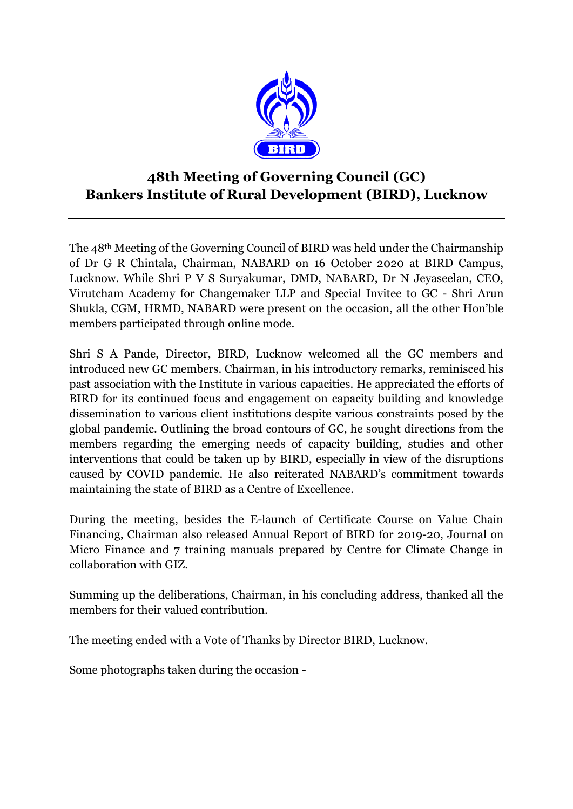

## **48th Meeting of Governing Council (GC) Bankers Institute of Rural Development (BIRD), Lucknow**

The 48th Meeting of the Governing Council of BIRD was held under the Chairmanship of Dr G R Chintala, Chairman, NABARD on 16 October 2020 at BIRD Campus, Lucknow. While Shri P V S Suryakumar, DMD, NABARD, Dr N Jeyaseelan, CEO, Virutcham Academy for Changemaker LLP and Special Invitee to GC - Shri Arun Shukla, CGM, HRMD, NABARD were present on the occasion, all the other Hon'ble members participated through online mode.

Shri S A Pande, Director, BIRD, Lucknow welcomed all the GC members and introduced new GC members. Chairman, in his introductory remarks, reminisced his past association with the Institute in various capacities. He appreciated the efforts of BIRD for its continued focus and engagement on capacity building and knowledge dissemination to various client institutions despite various constraints posed by the global pandemic. Outlining the broad contours of GC, he sought directions from the members regarding the emerging needs of capacity building, studies and other interventions that could be taken up by BIRD, especially in view of the disruptions caused by COVID pandemic. He also reiterated NABARD's commitment towards maintaining the state of BIRD as a Centre of Excellence.

During the meeting, besides the E-launch of Certificate Course on Value Chain Financing, Chairman also released Annual Report of BIRD for 2019-20, Journal on Micro Finance and 7 training manuals prepared by Centre for Climate Change in collaboration with GIZ.

Summing up the deliberations, Chairman, in his concluding address, thanked all the members for their valued contribution.

The meeting ended with a Vote of Thanks by Director BIRD, Lucknow.

Some photographs taken during the occasion -